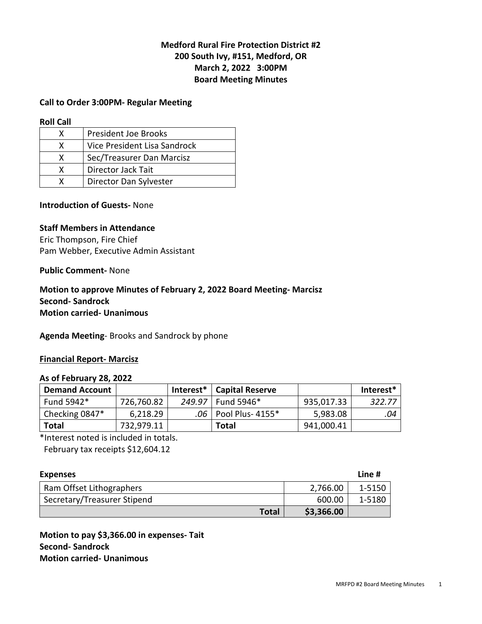# **Medford Rural Fire Protection District #2 200 South Ivy, #151, Medford, OR March 2, 2022 3:00PM Board Meeting Minutes**

#### **Call to Order 3:00PM- Regular Meeting**

**Roll Call** 

| x | <b>President Joe Brooks</b>  |
|---|------------------------------|
| x | Vice President Lisa Sandrock |
| x | Sec/Treasurer Dan Marcisz    |
| x | Director Jack Tait           |
|   | Director Dan Sylvester       |

### **Introduction of Guests-** None

#### **Staff Members in Attendance**

Eric Thompson, Fire Chief Pam Webber, Executive Admin Assistant

### **Public Comment-** None

### **Motion to approve Minutes of February 2, 2022 Board Meeting- Marcisz Second- Sandrock Motion carried- Unanimous**

**Agenda Meeting**- Brooks and Sandrock by phone

#### **Financial Report- Marcisz**

#### **As of February 28, 2022**

| <b>Demand Account</b> |            | Interest*   Capital Reserve |            | Interest* |
|-----------------------|------------|-----------------------------|------------|-----------|
| Fund 5942*            | 726,760.82 | 249.97   Fund 5946*         | 935,017.33 | 322.77    |
| Checking 0847*        | 6,218.29   | .06   Pool Plus- 4155*      | 5,983.08   | .04       |
| Total                 | 732,979.11 | <b>Total</b>                | 941,000.41 |           |

\*Interest noted is included in totals.

February tax receipts \$12,604.12

| <b>Expenses</b>             |            | Line # |
|-----------------------------|------------|--------|
| Ram Offset Lithographers    | 2,766.00   | 1-5150 |
| Secretary/Treasurer Stipend | 600.00     | 1-5180 |
| <b>Total</b>                | \$3,366.00 |        |

**Motion to pay \$3,366.00 in expenses- Tait Second- Sandrock Motion carried- Unanimous**